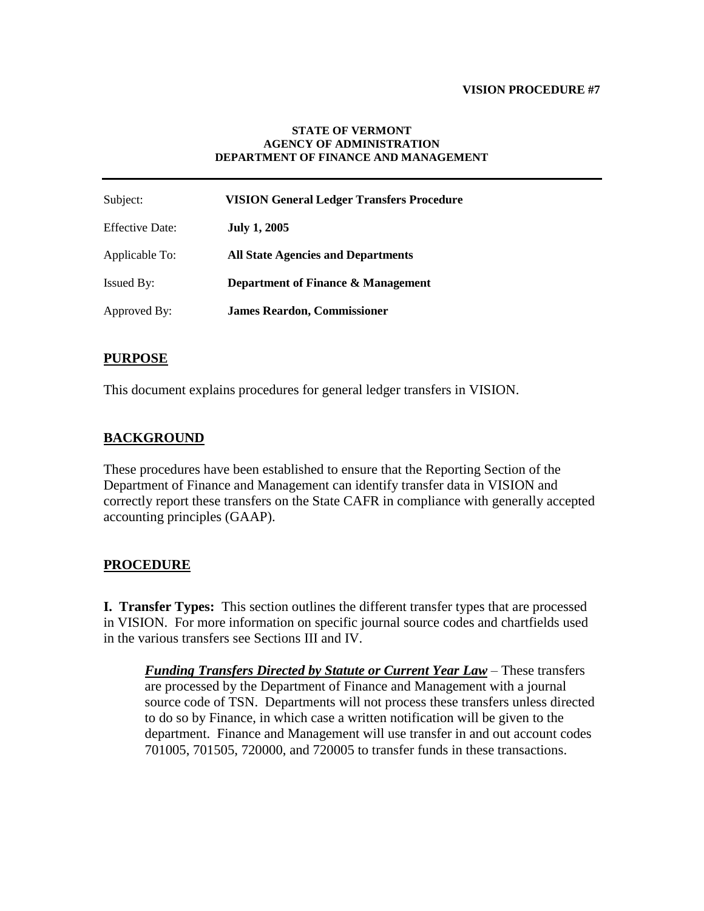### **VISION PROCEDURE #7**

#### **STATE OF VERMONT AGENCY OF ADMINISTRATION DEPARTMENT OF FINANCE AND MANAGEMENT**

| Subject:               | <b>VISION General Ledger Transfers Procedure</b> |
|------------------------|--------------------------------------------------|
| <b>Effective Date:</b> | <b>July 1, 2005</b>                              |
| Applicable To:         | <b>All State Agencies and Departments</b>        |
| <b>Issued By:</b>      | Department of Finance & Management               |
| Approved By:           | <b>James Reardon, Commissioner</b>               |

## **PURPOSE**

This document explains procedures for general ledger transfers in VISION.

# **BACKGROUND**

These procedures have been established to ensure that the Reporting Section of the Department of Finance and Management can identify transfer data in VISION and correctly report these transfers on the State CAFR in compliance with generally accepted accounting principles (GAAP).

## **PROCEDURE**

**I. Transfer Types:** This section outlines the different transfer types that are processed in VISION. For more information on specific journal source codes and chartfields used in the various transfers see Sections III and IV.

*Funding Transfers Directed by Statute or Current Year Law* – These transfers are processed by the Department of Finance and Management with a journal source code of TSN. Departments will not process these transfers unless directed to do so by Finance, in which case a written notification will be given to the department. Finance and Management will use transfer in and out account codes 701005, 701505, 720000, and 720005 to transfer funds in these transactions.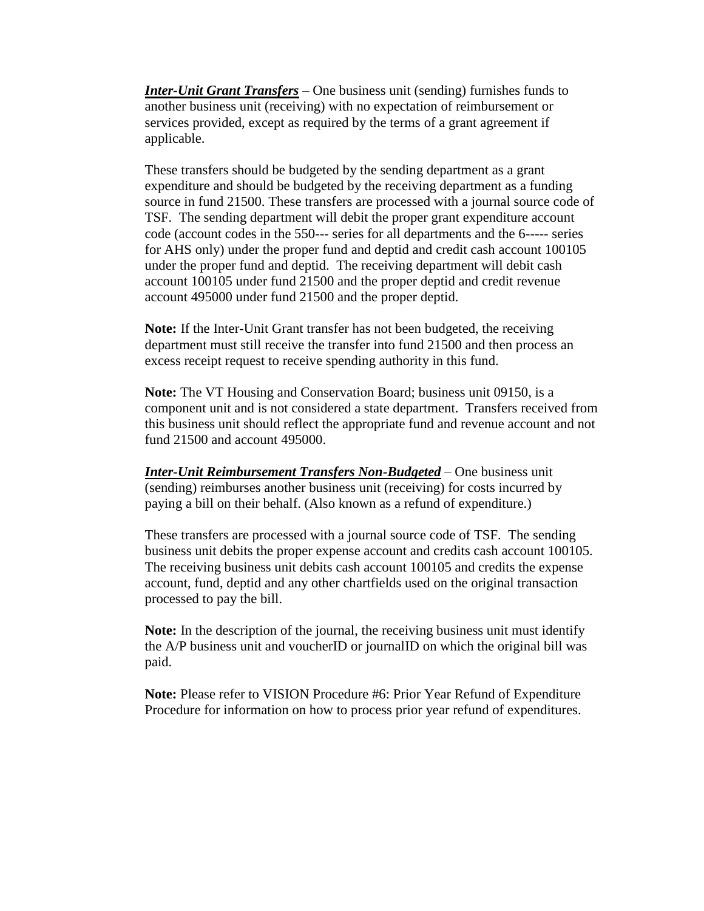*Inter-Unit Grant Transfers* – One business unit (sending) furnishes funds to another business unit (receiving) with no expectation of reimbursement or services provided, except as required by the terms of a grant agreement if applicable.

These transfers should be budgeted by the sending department as a grant expenditure and should be budgeted by the receiving department as a funding source in fund 21500. These transfers are processed with a journal source code of TSF. The sending department will debit the proper grant expenditure account code (account codes in the 550--- series for all departments and the 6----- series for AHS only) under the proper fund and deptid and credit cash account 100105 under the proper fund and deptid. The receiving department will debit cash account 100105 under fund 21500 and the proper deptid and credit revenue account 495000 under fund 21500 and the proper deptid.

**Note:** If the Inter-Unit Grant transfer has not been budgeted, the receiving department must still receive the transfer into fund 21500 and then process an excess receipt request to receive spending authority in this fund.

**Note:** The VT Housing and Conservation Board; business unit 09150, is a component unit and is not considered a state department. Transfers received from this business unit should reflect the appropriate fund and revenue account and not fund 21500 and account 495000.

*Inter-Unit Reimbursement Transfers Non-Budgeted* – One business unit (sending) reimburses another business unit (receiving) for costs incurred by paying a bill on their behalf. (Also known as a refund of expenditure.)

These transfers are processed with a journal source code of TSF. The sending business unit debits the proper expense account and credits cash account 100105. The receiving business unit debits cash account 100105 and credits the expense account, fund, deptid and any other chartfields used on the original transaction processed to pay the bill.

**Note:** In the description of the journal, the receiving business unit must identify the A/P business unit and voucherID or journalID on which the original bill was paid.

**Note:** Please refer to VISION Procedure #6: Prior Year Refund of Expenditure Procedure for information on how to process prior year refund of expenditures.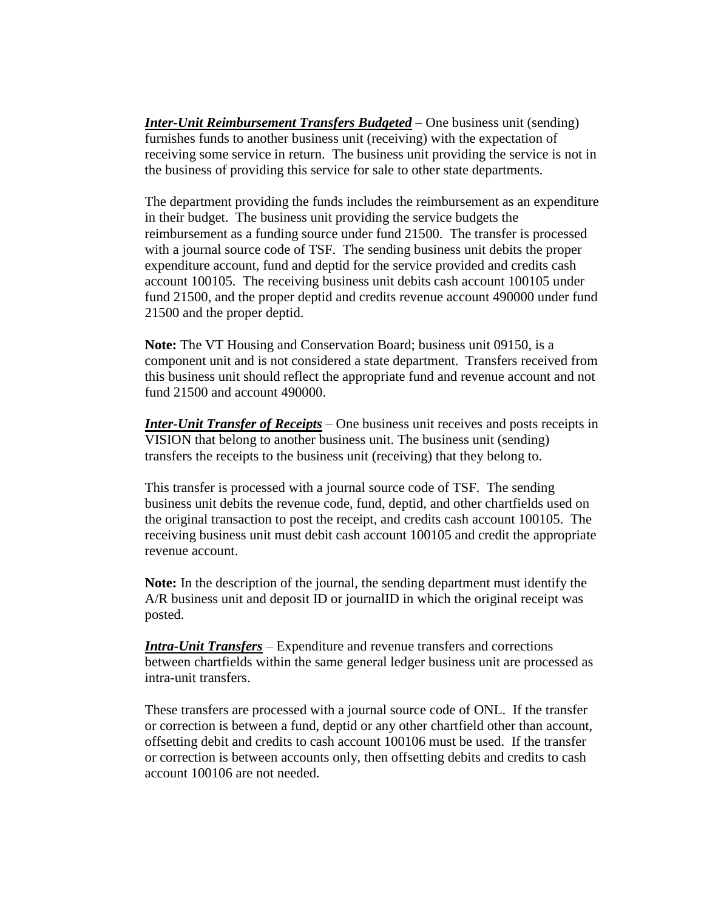*Inter-Unit Reimbursement Transfers Budgeted* – One business unit (sending) furnishes funds to another business unit (receiving) with the expectation of receiving some service in return. The business unit providing the service is not in the business of providing this service for sale to other state departments.

The department providing the funds includes the reimbursement as an expenditure in their budget. The business unit providing the service budgets the reimbursement as a funding source under fund 21500. The transfer is processed with a journal source code of TSF. The sending business unit debits the proper expenditure account, fund and deptid for the service provided and credits cash account 100105. The receiving business unit debits cash account 100105 under fund 21500, and the proper deptid and credits revenue account 490000 under fund 21500 and the proper deptid.

**Note:** The VT Housing and Conservation Board; business unit 09150, is a component unit and is not considered a state department. Transfers received from this business unit should reflect the appropriate fund and revenue account and not fund 21500 and account 490000.

*Inter-Unit Transfer of Receipts* – One business unit receives and posts receipts in VISION that belong to another business unit. The business unit (sending) transfers the receipts to the business unit (receiving) that they belong to.

This transfer is processed with a journal source code of TSF. The sending business unit debits the revenue code, fund, deptid, and other chartfields used on the original transaction to post the receipt, and credits cash account 100105. The receiving business unit must debit cash account 100105 and credit the appropriate revenue account.

**Note:** In the description of the journal, the sending department must identify the A/R business unit and deposit ID or journalID in which the original receipt was posted.

*Intra-Unit Transfers* – Expenditure and revenue transfers and corrections between chartfields within the same general ledger business unit are processed as intra-unit transfers.

These transfers are processed with a journal source code of ONL. If the transfer or correction is between a fund, deptid or any other chartfield other than account, offsetting debit and credits to cash account 100106 must be used. If the transfer or correction is between accounts only, then offsetting debits and credits to cash account 100106 are not needed.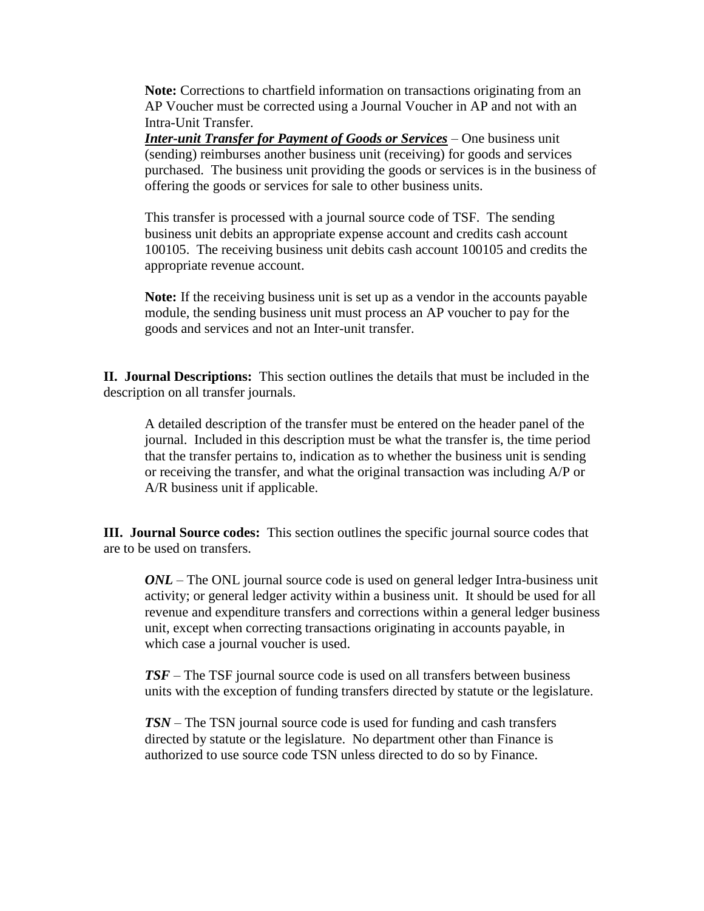**Note:** Corrections to chartfield information on transactions originating from an AP Voucher must be corrected using a Journal Voucher in AP and not with an Intra-Unit Transfer.

*Inter-unit Transfer for Payment of Goods or Services* – One business unit (sending) reimburses another business unit (receiving) for goods and services purchased. The business unit providing the goods or services is in the business of offering the goods or services for sale to other business units.

This transfer is processed with a journal source code of TSF. The sending business unit debits an appropriate expense account and credits cash account 100105. The receiving business unit debits cash account 100105 and credits the appropriate revenue account.

**Note:** If the receiving business unit is set up as a vendor in the accounts payable module, the sending business unit must process an AP voucher to pay for the goods and services and not an Inter-unit transfer.

**II. Journal Descriptions:** This section outlines the details that must be included in the description on all transfer journals.

A detailed description of the transfer must be entered on the header panel of the journal. Included in this description must be what the transfer is, the time period that the transfer pertains to, indication as to whether the business unit is sending or receiving the transfer, and what the original transaction was including A/P or A/R business unit if applicable.

**III. Journal Source codes:** This section outlines the specific journal source codes that are to be used on transfers.

*ONL* – The ONL journal source code is used on general ledger Intra-business unit activity; or general ledger activity within a business unit. It should be used for all revenue and expenditure transfers and corrections within a general ledger business unit, except when correcting transactions originating in accounts payable, in which case a journal voucher is used.

*TSF* – The TSF journal source code is used on all transfers between business units with the exception of funding transfers directed by statute or the legislature.

*TSN* – The TSN journal source code is used for funding and cash transfers directed by statute or the legislature. No department other than Finance is authorized to use source code TSN unless directed to do so by Finance.